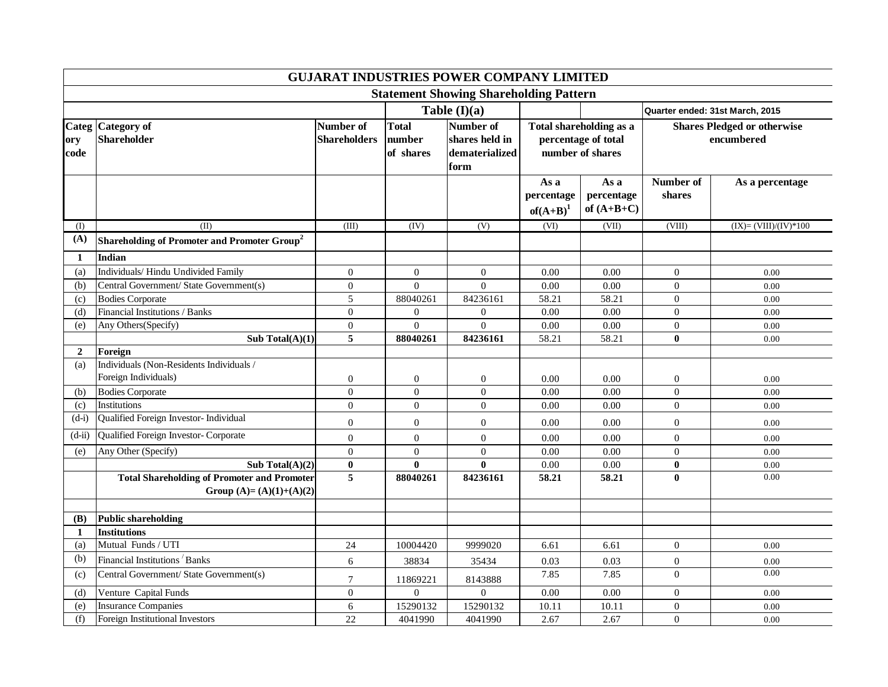| <b>GUJARAT INDUSTRIES POWER COMPANY LIMITED</b> |                                                                                |                                  |                                     |                                                       |                                   |                                                                    |                                                  |                        |  |  |  |
|-------------------------------------------------|--------------------------------------------------------------------------------|----------------------------------|-------------------------------------|-------------------------------------------------------|-----------------------------------|--------------------------------------------------------------------|--------------------------------------------------|------------------------|--|--|--|
| <b>Statement Showing Shareholding Pattern</b>   |                                                                                |                                  |                                     |                                                       |                                   |                                                                    |                                                  |                        |  |  |  |
|                                                 |                                                                                |                                  | Table $(I)(a)$                      |                                                       |                                   |                                                                    | Quarter ended: 31st March, 2015                  |                        |  |  |  |
| ory<br>code                                     | Categ Category of<br><b>Shareholder</b>                                        | Number of<br><b>Shareholders</b> | <b>Total</b><br>number<br>of shares | Number of<br>shares held in<br>dematerialized<br>form |                                   | Total shareholding as a<br>percentage of total<br>number of shares | <b>Shares Pledged or otherwise</b><br>encumbered |                        |  |  |  |
|                                                 |                                                                                |                                  |                                     |                                                       | As a<br>percentage<br>$of(A+B)^1$ | As a<br>percentage<br>of $(A+B+C)$                                 | Number of<br>shares                              | As a percentage        |  |  |  |
| (I)                                             | (II)                                                                           | (III)                            | (IV)                                | (V)                                                   | (VI)                              | (VII)                                                              | (VIII)                                           | $(IX)=(VIII)/(IV)*100$ |  |  |  |
| (A)                                             | Shareholding of Promoter and Promoter Group <sup>2</sup>                       |                                  |                                     |                                                       |                                   |                                                                    |                                                  |                        |  |  |  |
| 1                                               | Indian                                                                         |                                  |                                     |                                                       |                                   |                                                                    |                                                  |                        |  |  |  |
| (a)                                             | Individuals/ Hindu Undivided Family                                            | $\overline{0}$                   | $\mathbf{0}$                        | $\overline{0}$                                        | 0.00                              | 0.00                                                               | $\mathbf{0}$                                     | 0.00                   |  |  |  |
| (b)                                             | Central Government/ State Government(s)                                        | $\overline{0}$                   | $\Omega$                            | $\Omega$                                              | 0.00                              | $0.00\,$                                                           | $\boldsymbol{0}$                                 | 0.00                   |  |  |  |
| (c)                                             | <b>Bodies Corporate</b>                                                        | 5                                | 88040261                            | 84236161                                              | 58.21                             | 58.21                                                              | $\overline{0}$                                   | 0.00                   |  |  |  |
| (d)                                             | Financial Institutions / Banks                                                 | $\overline{0}$                   | $\overline{0}$                      | $\overline{0}$                                        | 0.00                              | 0.00                                                               | $\overline{0}$                                   | 0.00                   |  |  |  |
| (e)                                             | Any Others(Specify)                                                            | $\boldsymbol{0}$                 | $\overline{0}$                      | $\overline{0}$                                        | 0.00                              | $0.00\,$                                                           | $\boldsymbol{0}$                                 | 0.00                   |  |  |  |
|                                                 | Sub Total $(A)(1)$                                                             | 5                                | 88040261                            | 84236161                                              | 58.21                             | 58.21                                                              | $\bf{0}$                                         | 0.00                   |  |  |  |
| $\overline{2}$                                  | Foreign                                                                        |                                  |                                     |                                                       |                                   |                                                                    |                                                  |                        |  |  |  |
| (a)                                             | Individuals (Non-Residents Individuals /                                       |                                  |                                     |                                                       |                                   |                                                                    |                                                  |                        |  |  |  |
|                                                 | Foreign Individuals)                                                           | 0                                | $\boldsymbol{0}$                    | $\overline{0}$                                        | 0.00                              | 0.00                                                               | $\boldsymbol{0}$                                 | 0.00                   |  |  |  |
| (b)                                             | <b>Bodies Corporate</b>                                                        | $\boldsymbol{0}$                 | $\boldsymbol{0}$                    | $\mathbf{0}$                                          | 0.00                              | 0.00                                                               | $\boldsymbol{0}$                                 | 0.00                   |  |  |  |
| (c)                                             | Institutions                                                                   | $\overline{0}$                   | $\overline{0}$                      | $\overline{0}$                                        | 0.00                              | 0.00                                                               | $\overline{0}$                                   | 0.00                   |  |  |  |
| $(d-i)$                                         | Qualified Foreign Investor- Individual                                         | $\boldsymbol{0}$                 | $\mathbf{0}$                        | $\mathbf{0}$                                          | 0.00                              | 0.00                                                               | $\mathbf{0}$                                     | 0.00                   |  |  |  |
| $(d-ii)$                                        | Qualified Foreign Investor- Corporate                                          | $\overline{0}$                   | $\boldsymbol{0}$                    | $\Omega$                                              | 0.00                              | 0.00                                                               | $\boldsymbol{0}$                                 | 0.00                   |  |  |  |
| (e)                                             | Any Other (Specify)                                                            | $\Omega$                         | $\boldsymbol{0}$                    | $\Omega$                                              | 0.00                              | 0.00                                                               | $\boldsymbol{0}$                                 | 0.00                   |  |  |  |
|                                                 | Sub Total $(A)(2)$                                                             | $\pmb{0}$                        | $\bf{0}$                            | $\mathbf{0}$                                          | 0.00                              | $0.00\,$                                                           | $\bf{0}$                                         | 0.00                   |  |  |  |
|                                                 | <b>Total Shareholding of Promoter and Promoter</b><br>Group (A)= (A)(1)+(A)(2) | 5                                | 88040261                            | 84236161                                              | 58.21                             | 58.21                                                              | $\mathbf{0}$                                     | 0.00                   |  |  |  |
| (B)                                             | Public shareholding                                                            |                                  |                                     |                                                       |                                   |                                                                    |                                                  |                        |  |  |  |
| -1                                              | <b>Institutions</b>                                                            |                                  |                                     |                                                       |                                   |                                                                    |                                                  |                        |  |  |  |
| (a)                                             | Mutual Funds / UTI                                                             | 24                               | 10004420                            | 9999020                                               | 6.61                              | 6.61                                                               | $\mathbf{0}$                                     | 0.00                   |  |  |  |
| (b)                                             | Financial Institutions Banks                                                   | 6                                | 38834                               | 35434                                                 | 0.03                              | 0.03                                                               | $\boldsymbol{0}$                                 | 0.00                   |  |  |  |
| (c)                                             | Central Government/ State Government(s)                                        | $\overline{7}$                   | 11869221                            | 8143888                                               | 7.85                              | 7.85                                                               | $\overline{0}$                                   | 0.00                   |  |  |  |
| (d)                                             | Venture Capital Funds                                                          | $\overline{0}$                   | $\mathbf{0}$                        | $\mathbf{0}$                                          | 0.00                              | 0.00                                                               | $\mathbf{0}$                                     | 0.00                   |  |  |  |
| (e)                                             | <b>Insurance Companies</b>                                                     | 6                                | 15290132                            | 15290132                                              | 10.11                             | 10.11                                                              | $\boldsymbol{0}$                                 | 0.00                   |  |  |  |
| (f)                                             | Foreign Institutional Investors                                                | 22                               | 4041990                             | 4041990                                               | 2.67                              | 2.67                                                               | $\boldsymbol{0}$                                 | 0.00                   |  |  |  |